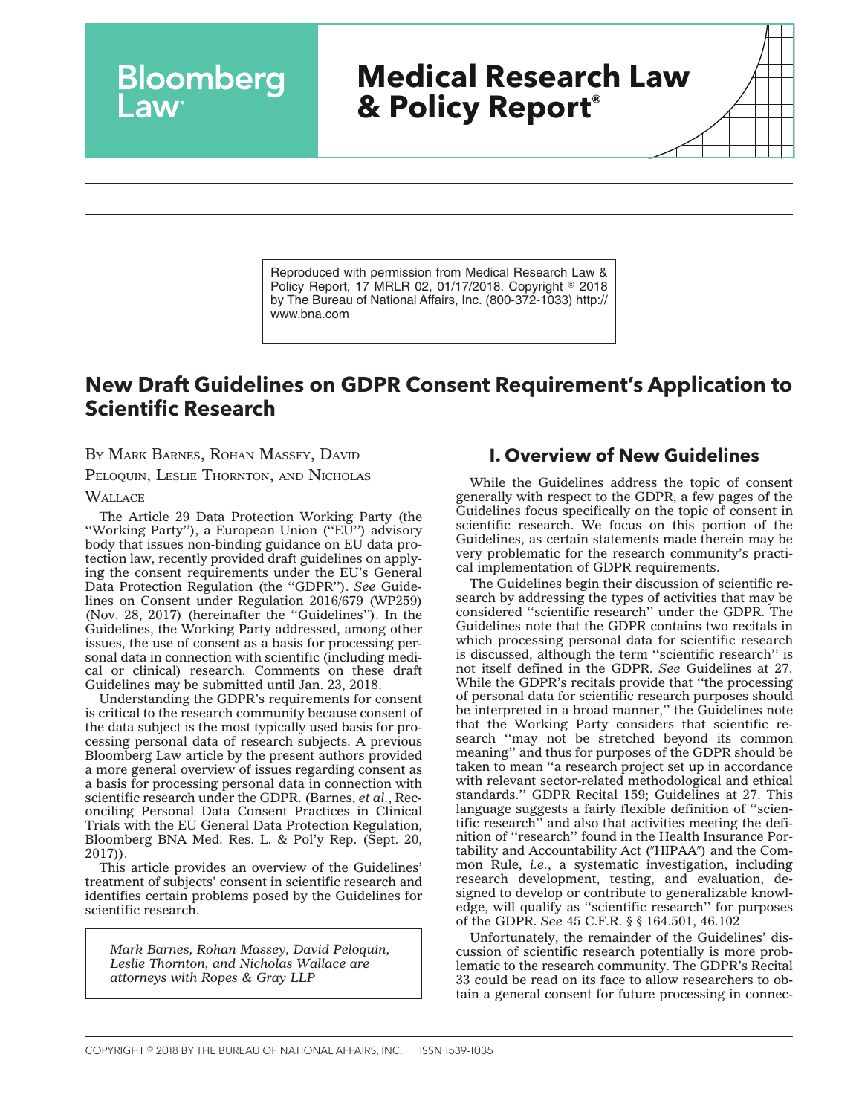# **Medical Research Law & Policy Report®**

Reproduced with permission from Medical Research Law & Policy Report, 17 MRLR 02, 01/17/2018. Copyright © 2018 by The Bureau of National Affairs, Inc. (800-372-1033) http:// www.bna.com

## **New Draft Guidelines on GDPR Consent Requirement's Application to Scientific Research**

BY MARK BARNES, ROHAN MASSEY, DAVID

**Bloomberg** 

PELOQUIN, LESLIE THORNTON, AND NICHOLAS

**WALLACE** 

The Article 29 Data Protection Working Party (the ''Working Party''), a European Union (''EU'') advisory body that issues non-binding guidance on EU data protection law, recently provided draft guidelines on applying the consent requirements under the EU's General Data Protection Regulation (the ''GDPR''). *See* Guidelines on Consent under Regulation 2016/679 (WP259) (Nov. 28, 2017) (hereinafter the ''Guidelines''). In the Guidelines, the Working Party addressed, among other issues, the use of consent as a basis for processing personal data in connection with scientific (including medical or clinical) research. Comments on these draft Guidelines may be submitted until Jan. 23, 2018.

Understanding the GDPR's requirements for consent is critical to the research community because consent of the data subject is the most typically used basis for processing personal data of research subjects. A previous Bloomberg Law article by the present authors provided a more general overview of issues regarding consent as a basis for processing personal data in connection with scientific research under the GDPR. (Barnes, *et al.*, Reconciling Personal Data Consent Practices in Clinical Trials with the EU General Data Protection Regulation, Bloomberg BNA Med. Res. L. & Pol'y Rep. (Sept. 20, 2017)).

This article provides an overview of the Guidelines' treatment of subjects' consent in scientific research and identifies certain problems posed by the Guidelines for scientific research.

*Mark Barnes, Rohan Massey, David Peloquin, Leslie Thornton, and Nicholas Wallace are attorneys with Ropes & Gray LLP*

### **I. Overview of New Guidelines**

While the Guidelines address the topic of consent generally with respect to the GDPR, a few pages of the Guidelines focus specifically on the topic of consent in scientific research. We focus on this portion of the Guidelines, as certain statements made therein may be very problematic for the research community's practical implementation of GDPR requirements.

The Guidelines begin their discussion of scientific research by addressing the types of activities that may be considered ''scientific research'' under the GDPR. The Guidelines note that the GDPR contains two recitals in which processing personal data for scientific research is discussed, although the term ''scientific research'' is not itself defined in the GDPR. *See* Guidelines at 27. While the GDPR's recitals provide that ''the processing of personal data for scientific research purposes should be interpreted in a broad manner," the Guidelines note that the Working Party considers that scientific research ''may not be stretched beyond its common meaning'' and thus for purposes of the GDPR should be taken to mean ''a research project set up in accordance with relevant sector-related methodological and ethical standards.'' GDPR Recital 159; Guidelines at 27. This language suggests a fairly flexible definition of ''scientific research'' and also that activities meeting the definition of ''research'' found in the Health Insurance Portability and Accountability Act ("HIPAA") and the Common Rule, *i.e.*, a systematic investigation, including research development, testing, and evaluation, designed to develop or contribute to generalizable knowledge, will qualify as ''scientific research'' for purposes of the GDPR. *See* 45 C.F.R. § § 164.501, 46.102

Unfortunately, the remainder of the Guidelines' discussion of scientific research potentially is more problematic to the research community. The GDPR's Recital 33 could be read on its face to allow researchers to obtain a general consent for future processing in connec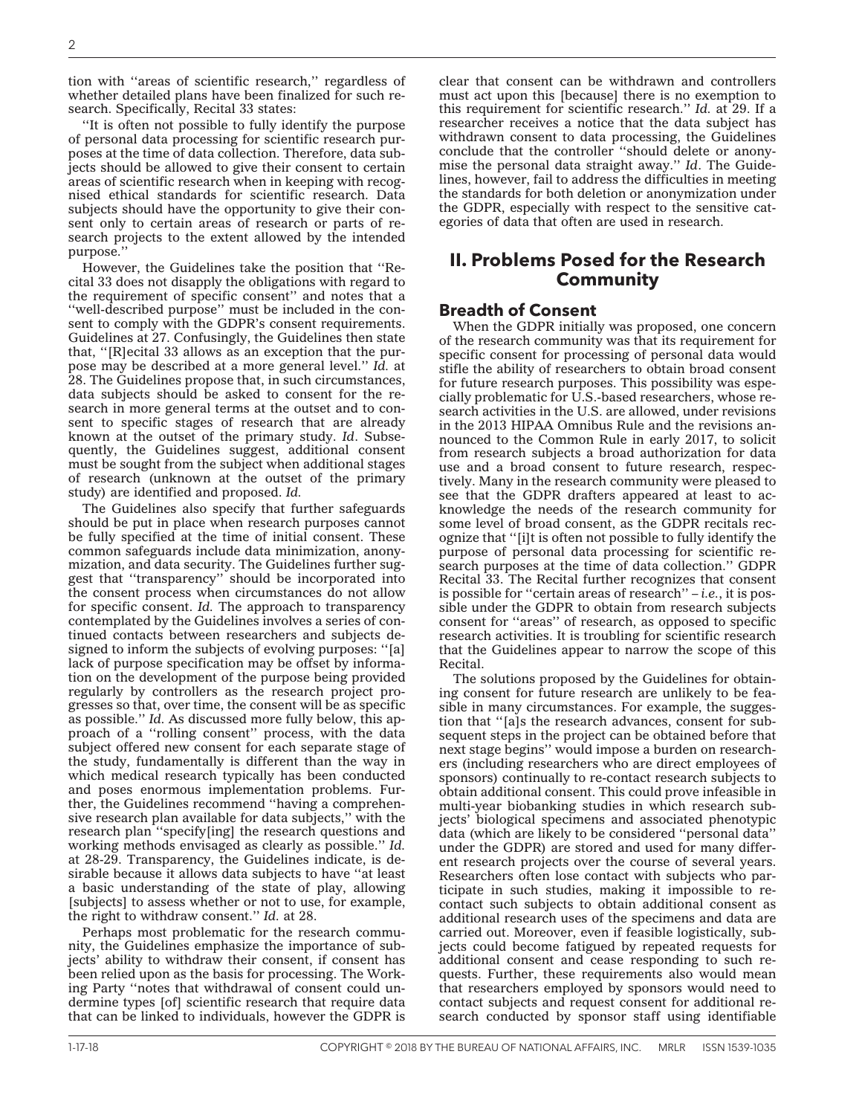tion with ''areas of scientific research,'' regardless of whether detailed plans have been finalized for such research. Specifically, Recital 33 states:

''It is often not possible to fully identify the purpose of personal data processing for scientific research purposes at the time of data collection. Therefore, data subjects should be allowed to give their consent to certain areas of scientific research when in keeping with recognised ethical standards for scientific research. Data subjects should have the opportunity to give their consent only to certain areas of research or parts of research projects to the extent allowed by the intended purpose.''

However, the Guidelines take the position that ''Recital 33 does not disapply the obligations with regard to the requirement of specific consent'' and notes that a ''well-described purpose'' must be included in the consent to comply with the GDPR's consent requirements. Guidelines at 27. Confusingly, the Guidelines then state that, ''[R]ecital 33 allows as an exception that the purpose may be described at a more general level.'' *Id.* at 28. The Guidelines propose that, in such circumstances, data subjects should be asked to consent for the research in more general terms at the outset and to consent to specific stages of research that are already known at the outset of the primary study. *Id*. Subsequently, the Guidelines suggest, additional consent must be sought from the subject when additional stages of research (unknown at the outset of the primary study) are identified and proposed. *Id.*

The Guidelines also specify that further safeguards should be put in place when research purposes cannot be fully specified at the time of initial consent. These common safeguards include data minimization, anonymization, and data security. The Guidelines further suggest that ''transparency'' should be incorporated into the consent process when circumstances do not allow for specific consent. *Id.* The approach to transparency contemplated by the Guidelines involves a series of continued contacts between researchers and subjects designed to inform the subjects of evolving purposes: ''[a] lack of purpose specification may be offset by information on the development of the purpose being provided regularly by controllers as the research project progresses so that, over time, the consent will be as specific as possible.'' *Id.* As discussed more fully below, this approach of a "rolling consent" process, with the data subject offered new consent for each separate stage of the study, fundamentally is different than the way in which medical research typically has been conducted and poses enormous implementation problems. Further, the Guidelines recommend ''having a comprehensive research plan available for data subjects,'' with the research plan ''specify[ing] the research questions and working methods envisaged as clearly as possible.'' *Id.* at 28-29. Transparency, the Guidelines indicate, is desirable because it allows data subjects to have ''at least a basic understanding of the state of play, allowing [subjects] to assess whether or not to use, for example, the right to withdraw consent.'' *Id.* at 28.

Perhaps most problematic for the research community, the Guidelines emphasize the importance of subjects' ability to withdraw their consent, if consent has been relied upon as the basis for processing. The Working Party ''notes that withdrawal of consent could undermine types [of] scientific research that require data that can be linked to individuals, however the GDPR is clear that consent can be withdrawn and controllers must act upon this [because] there is no exemption to this requirement for scientific research." *Id.* at 29. If a researcher receives a notice that the data subject has withdrawn consent to data processing, the Guidelines conclude that the controller ''should delete or anonymise the personal data straight away.'' *Id*. The Guidelines, however, fail to address the difficulties in meeting the standards for both deletion or anonymization under the GDPR, especially with respect to the sensitive categories of data that often are used in research.

## **II. Problems Posed for the Research Community**

#### **Breadth of Consent**

When the GDPR initially was proposed, one concern of the research community was that its requirement for specific consent for processing of personal data would stifle the ability of researchers to obtain broad consent for future research purposes. This possibility was especially problematic for U.S.-based researchers, whose research activities in the U.S. are allowed, under revisions in the 2013 HIPAA Omnibus Rule and the revisions announced to the Common Rule in early 2017, to solicit from research subjects a broad authorization for data use and a broad consent to future research, respectively. Many in the research community were pleased to see that the GDPR drafters appeared at least to acknowledge the needs of the research community for some level of broad consent, as the GDPR recitals recognize that ''[i]t is often not possible to fully identify the purpose of personal data processing for scientific research purposes at the time of data collection.'' GDPR Recital 33. The Recital further recognizes that consent is possible for ''certain areas of research'' – *i.e.*, it is possible under the GDPR to obtain from research subjects consent for ''areas'' of research, as opposed to specific research activities. It is troubling for scientific research that the Guidelines appear to narrow the scope of this Recital.

The solutions proposed by the Guidelines for obtaining consent for future research are unlikely to be feasible in many circumstances. For example, the suggestion that ''[a]s the research advances, consent for subsequent steps in the project can be obtained before that next stage begins'' would impose a burden on researchers (including researchers who are direct employees of sponsors) continually to re-contact research subjects to obtain additional consent. This could prove infeasible in multi-year biobanking studies in which research subjects' biological specimens and associated phenotypic data (which are likely to be considered ''personal data'' under the GDPR) are stored and used for many different research projects over the course of several years. Researchers often lose contact with subjects who participate in such studies, making it impossible to recontact such subjects to obtain additional consent as additional research uses of the specimens and data are carried out. Moreover, even if feasible logistically, subjects could become fatigued by repeated requests for additional consent and cease responding to such requests. Further, these requirements also would mean that researchers employed by sponsors would need to contact subjects and request consent for additional research conducted by sponsor staff using identifiable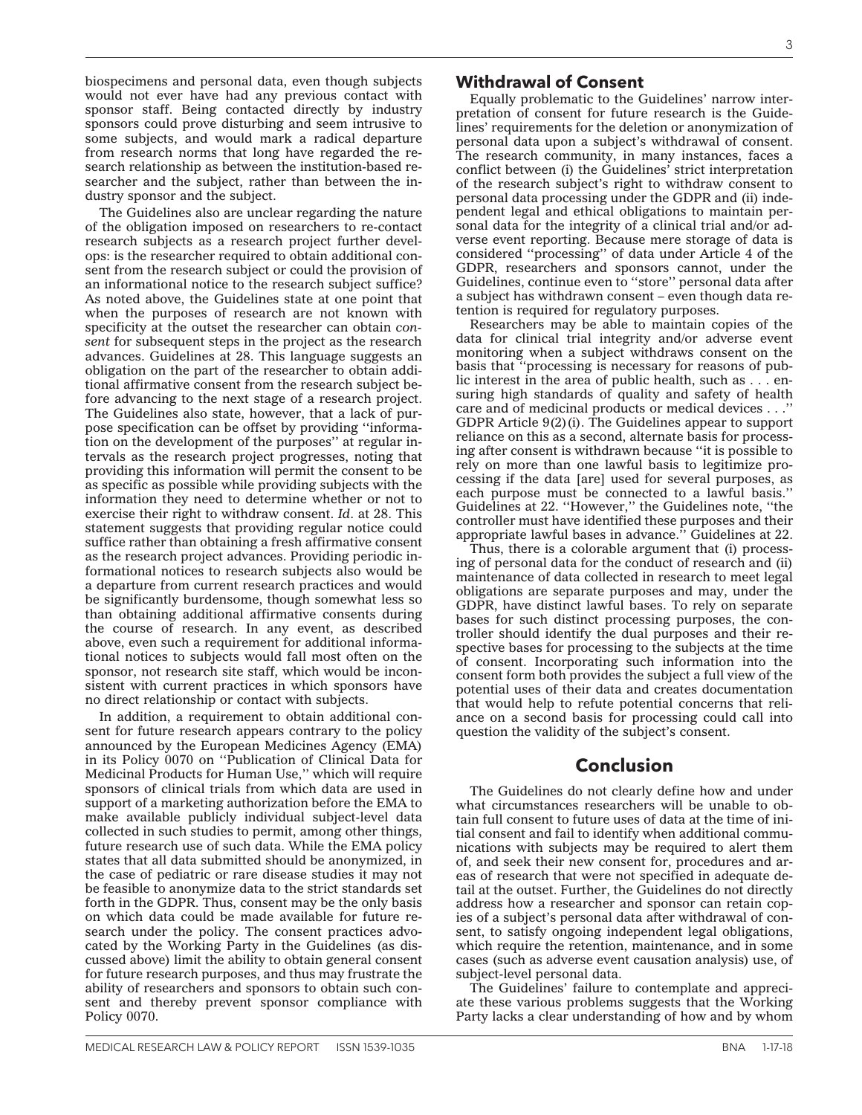biospecimens and personal data, even though subjects would not ever have had any previous contact with sponsor staff. Being contacted directly by industry sponsors could prove disturbing and seem intrusive to some subjects, and would mark a radical departure from research norms that long have regarded the research relationship as between the institution-based researcher and the subject, rather than between the industry sponsor and the subject.

The Guidelines also are unclear regarding the nature of the obligation imposed on researchers to re-contact research subjects as a research project further develops: is the researcher required to obtain additional consent from the research subject or could the provision of an informational notice to the research subject suffice? As noted above, the Guidelines state at one point that when the purposes of research are not known with specificity at the outset the researcher can obtain *consent* for subsequent steps in the project as the research advances. Guidelines at 28. This language suggests an obligation on the part of the researcher to obtain additional affirmative consent from the research subject before advancing to the next stage of a research project. The Guidelines also state, however, that a lack of purpose specification can be offset by providing ''information on the development of the purposes'' at regular intervals as the research project progresses, noting that providing this information will permit the consent to be as specific as possible while providing subjects with the information they need to determine whether or not to exercise their right to withdraw consent. *Id*. at 28. This statement suggests that providing regular notice could suffice rather than obtaining a fresh affirmative consent as the research project advances. Providing periodic informational notices to research subjects also would be a departure from current research practices and would be significantly burdensome, though somewhat less so than obtaining additional affirmative consents during the course of research. In any event, as described above, even such a requirement for additional informational notices to subjects would fall most often on the sponsor, not research site staff, which would be inconsistent with current practices in which sponsors have no direct relationship or contact with subjects.

In addition, a requirement to obtain additional consent for future research appears contrary to the policy announced by the European Medicines Agency (EMA) in its Policy 0070 on ''Publication of Clinical Data for Medicinal Products for Human Use,'' which will require sponsors of clinical trials from which data are used in support of a marketing authorization before the EMA to make available publicly individual subject-level data collected in such studies to permit, among other things, future research use of such data. While the EMA policy states that all data submitted should be anonymized, in the case of pediatric or rare disease studies it may not be feasible to anonymize data to the strict standards set forth in the GDPR. Thus, consent may be the only basis on which data could be made available for future research under the policy. The consent practices advocated by the Working Party in the Guidelines (as discussed above) limit the ability to obtain general consent for future research purposes, and thus may frustrate the ability of researchers and sponsors to obtain such consent and thereby prevent sponsor compliance with Policy 0070.

#### **Withdrawal of Consent**

Equally problematic to the Guidelines' narrow interpretation of consent for future research is the Guidelines' requirements for the deletion or anonymization of personal data upon a subject's withdrawal of consent. The research community, in many instances, faces a conflict between (i) the Guidelines' strict interpretation of the research subject's right to withdraw consent to personal data processing under the GDPR and (ii) independent legal and ethical obligations to maintain personal data for the integrity of a clinical trial and/or adverse event reporting. Because mere storage of data is considered ''processing'' of data under Article 4 of the GDPR, researchers and sponsors cannot, under the Guidelines, continue even to ''store'' personal data after a subject has withdrawn consent – even though data retention is required for regulatory purposes.

Researchers may be able to maintain copies of the data for clinical trial integrity and/or adverse event monitoring when a subject withdraws consent on the basis that ''processing is necessary for reasons of public interest in the area of public health, such as . . . ensuring high standards of quality and safety of health care and of medicinal products or medical devices . . . GDPR Article 9(2)(i). The Guidelines appear to support reliance on this as a second, alternate basis for processing after consent is withdrawn because ''it is possible to rely on more than one lawful basis to legitimize processing if the data [are] used for several purposes, as each purpose must be connected to a lawful basis.'' Guidelines at 22. ''However,'' the Guidelines note, ''the controller must have identified these purposes and their appropriate lawful bases in advance.'' Guidelines at 22.

Thus, there is a colorable argument that (i) processing of personal data for the conduct of research and (ii) maintenance of data collected in research to meet legal obligations are separate purposes and may, under the GDPR, have distinct lawful bases. To rely on separate bases for such distinct processing purposes, the controller should identify the dual purposes and their respective bases for processing to the subjects at the time of consent. Incorporating such information into the consent form both provides the subject a full view of the potential uses of their data and creates documentation that would help to refute potential concerns that reliance on a second basis for processing could call into question the validity of the subject's consent.

#### **Conclusion**

The Guidelines do not clearly define how and under what circumstances researchers will be unable to obtain full consent to future uses of data at the time of initial consent and fail to identify when additional communications with subjects may be required to alert them of, and seek their new consent for, procedures and areas of research that were not specified in adequate detail at the outset. Further, the Guidelines do not directly address how a researcher and sponsor can retain copies of a subject's personal data after withdrawal of consent, to satisfy ongoing independent legal obligations, which require the retention, maintenance, and in some cases (such as adverse event causation analysis) use, of subject-level personal data.

The Guidelines' failure to contemplate and appreciate these various problems suggests that the Working Party lacks a clear understanding of how and by whom